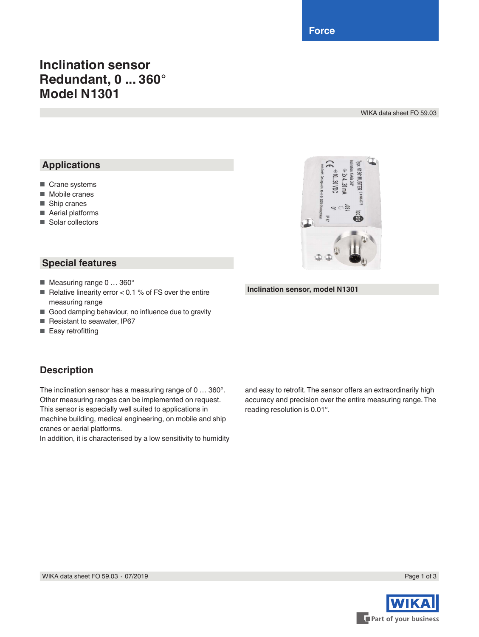**Force**

# **Inclination sensor Redundant, 0 ... 360° Model N1301**

WIKA data sheet FO 59.03

### **Applications**

- Crane systems
- Mobile cranes
- Ship cranes
- Aerial platforms
- Solar collectors



#### **Special features**

- Measuring range 0 ... 360°
- Relative linearity error  $< 0.1$  % of FS over the entire measuring range
- Good damping behaviour, no influence due to gravity
- Resistant to seawater, IP67
- Easy retrofitting

#### **Description**

The inclination sensor has a measuring range of 0 … 360°. Other measuring ranges can be implemented on request. This sensor is especially well suited to applications in machine building, medical engineering, on mobile and ship cranes or aerial platforms.

In addition, it is characterised by a low sensitivity to humidity

**Inclination sensor, model N1301**

and easy to retrofit. The sensor offers an extraordinarily high accuracy and precision over the entire measuring range. The reading resolution is 0.01°.

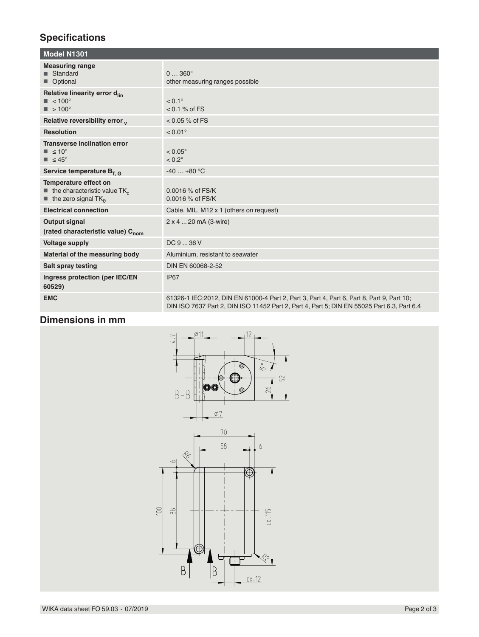## **Specifications**

| <b>Model N1301</b>                                                                                                                 |                                                                                                                                                                                          |  |
|------------------------------------------------------------------------------------------------------------------------------------|------------------------------------------------------------------------------------------------------------------------------------------------------------------------------------------|--|
| <b>Measuring range</b><br>■ Standard<br>Optional                                                                                   | $0360^{\circ}$<br>other measuring ranges possible                                                                                                                                        |  |
| Relative linearity error d <sub>lin</sub><br>$\blacksquare$ < 100 $^{\circ}$<br>$\blacksquare$ > 100°                              | $< 0.1^{\circ}$<br>$< 0.1 %$ of FS                                                                                                                                                       |  |
| Relative reversibility error y                                                                                                     | $< 0.05 %$ of FS                                                                                                                                                                         |  |
| <b>Resolution</b>                                                                                                                  | $< 0.01$ °                                                                                                                                                                               |  |
| <b>Transverse inclination error</b><br>$\blacksquare$ $\leq 10^{\circ}$<br>$\blacksquare$ $\leq 45^{\circ}$                        | $< 0.05^{\circ}$<br>$< 0.2^\circ$                                                                                                                                                        |  |
| Service temperature $B_{T, G}$                                                                                                     | $-40+80$ °C                                                                                                                                                                              |  |
| Temperature effect on<br>$\blacksquare$ the characteristic value TK <sub>c</sub><br>$\blacksquare$ the zero signal TK <sub>o</sub> | 0.0016 % of FS/K<br>0.0016 % of FS/K                                                                                                                                                     |  |
| <b>Electrical connection</b>                                                                                                       | Cable, MIL, M12 x 1 (others on request)                                                                                                                                                  |  |
| <b>Output signal</b><br>(rated characteristic value) C <sub>nom</sub>                                                              | 2 x 4  20 mA (3-wire)                                                                                                                                                                    |  |
| <b>Voltage supply</b>                                                                                                              | DC936V                                                                                                                                                                                   |  |
| Material of the measuring body                                                                                                     | Aluminium, resistant to seawater                                                                                                                                                         |  |
| <b>Salt spray testing</b>                                                                                                          | DIN EN 60068-2-52                                                                                                                                                                        |  |
| Ingress protection (per IEC/EN<br>60529)                                                                                           | IP67                                                                                                                                                                                     |  |
| <b>EMC</b>                                                                                                                         | 61326-1 IEC: 2012, DIN EN 61000-4 Part 2, Part 3, Part 4, Part 6, Part 8, Part 9, Part 10;<br>DIN ISO 7637 Part 2, DIN ISO 11452 Part 2, Part 4, Part 5; DIN EN 55025 Part 6.3, Part 6.4 |  |

### **Dimensions in mm**